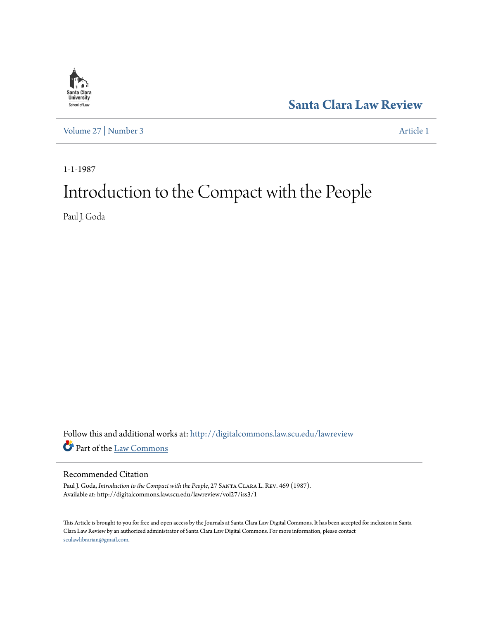

**[Santa Clara Law Review](http://digitalcommons.law.scu.edu/lawreview?utm_source=digitalcommons.law.scu.edu%2Flawreview%2Fvol27%2Fiss3%2F1&utm_medium=PDF&utm_campaign=PDFCoverPages)**

[Volume 27](http://digitalcommons.law.scu.edu/lawreview/vol27?utm_source=digitalcommons.law.scu.edu%2Flawreview%2Fvol27%2Fiss3%2F1&utm_medium=PDF&utm_campaign=PDFCoverPages) | [Number 3](http://digitalcommons.law.scu.edu/lawreview/vol27/iss3?utm_source=digitalcommons.law.scu.edu%2Flawreview%2Fvol27%2Fiss3%2F1&utm_medium=PDF&utm_campaign=PDFCoverPages) [Article 1](http://digitalcommons.law.scu.edu/lawreview/vol27/iss3/1?utm_source=digitalcommons.law.scu.edu%2Flawreview%2Fvol27%2Fiss3%2F1&utm_medium=PDF&utm_campaign=PDFCoverPages)

1-1-1987

# Introduction to the Compact with the People

Paul J. Goda

Follow this and additional works at: [http://digitalcommons.law.scu.edu/lawreview](http://digitalcommons.law.scu.edu/lawreview?utm_source=digitalcommons.law.scu.edu%2Flawreview%2Fvol27%2Fiss3%2F1&utm_medium=PDF&utm_campaign=PDFCoverPages) Part of the [Law Commons](http://network.bepress.com/hgg/discipline/578?utm_source=digitalcommons.law.scu.edu%2Flawreview%2Fvol27%2Fiss3%2F1&utm_medium=PDF&utm_campaign=PDFCoverPages)

#### Recommended Citation

Paul J. Goda, *Introduction to the Compact with the People*, 27 SANTA CLARA L. REV. 469 (1987). Available at: http://digitalcommons.law.scu.edu/lawreview/vol27/iss3/1

This Article is brought to you for free and open access by the Journals at Santa Clara Law Digital Commons. It has been accepted for inclusion in Santa Clara Law Review by an authorized administrator of Santa Clara Law Digital Commons. For more information, please contact [sculawlibrarian@gmail.com](mailto:sculawlibrarian@gmail.com).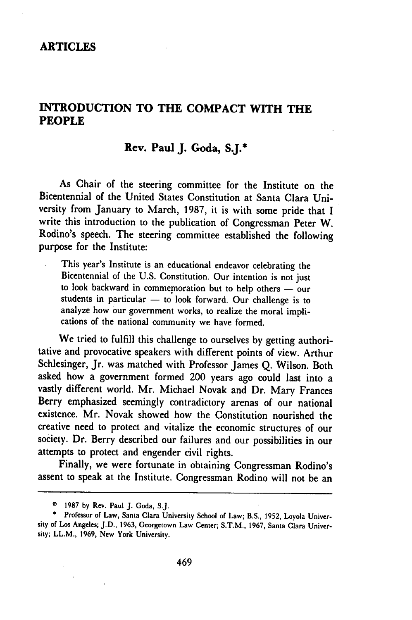#### **ARTICLES**

#### **INTRODUCTION TO THE COMPACT WITH THE PEOPLE**

#### **Rev. Paul J. Goda, S.J.\***

As Chair of the steering committee for the Institute on the Bicentennial of the United States Constitution at Santa Clara University from January to March, **1987,** it is with some pride that I write this introduction to the publication of Congressman Peter W. Rodino's speech. The steering committee established the following purpose for the Institute:

This year's Institute is an educational endeavor celebrating the Bicentennial of the U.S. Constitution. Our intention is not just to look backward in commemoration but to help others - our students in particular  $-$  to look forward. Our challenge is to analyze how our government works, to realize the moral implications of the national community we have formed.

We tried to fulfill this challenge to ourselves by getting authoritative and provocative speakers with different points of view. Arthur Schlesinger, Jr. was matched with Professor James Q. Wilson. Both asked how a government formed 200 years ago could last into a vastly different world. Mr. Michael Novak and Dr. Mary Frances Berry emphasized seemingly contradictory arenas of our national existence. Mr. Novak showed how the Constitution nourished the creative need to protect and vitalize the economic structures of our society. Dr. Berry described our failures and our possibilities in our attempts to protect and engender civil rights.

Finally, we were fortunate in obtaining Congressman Rodino's assent to speak at the Institute. Congressman Rodino will not be an

*<sup>©</sup>* 1987 **by** Rev. Paul **J.** Goda, **S.J.**

<sup>\*</sup> Professor of Law, Santa Clara University School of Law; B.S., 1952, Loyola University of Los Angeles; **J.D.,** 1963, Georgetown Law Center; S.T.M., 1967, Santa Clara University; LL.M., 1969, New York University.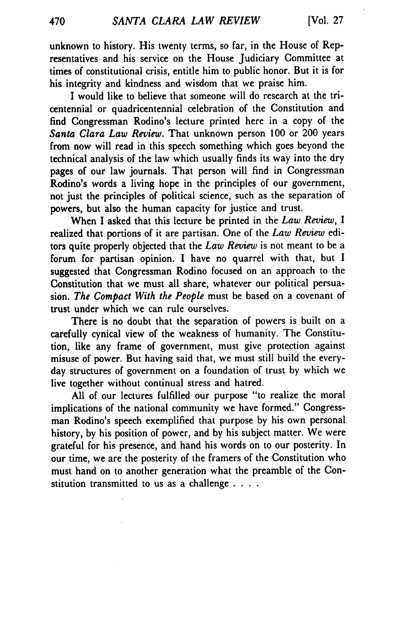unknown to history. His twenty terms, so far, in the House of Representatives and his service on the House Judiciary Committee at times of constitutional crisis, entitle him to public honor. But it is for his integrity and kindness and wisdom that we praise him.

I would like to believe that someone will do research at the tricentennial or quadricentennial celebration of the Constitution and find Congressman Rodino's lecture printed here in a copy of the *Santa Clara Law Review.* That unknown person 100 or 200 years from now will read in this speech something which goes beyond the technical analysis of the law which usually finds its way into the dry pages of our law journals. That person will find in Congressman Rodino's words a living hope in the principles of our government, not just the principles of political science, such as the separation of powers, but also the human capacity for justice and trust.

When I asked that this lecture be printed in the *Law Review, I* realized that portions of it are partisan. One of the *Law Review* editors quite properly objected that the *Law Review* is not meant to be a forum for partisan opinion. I have no quarrel with that, but I suggested that Congressman Rodino focused on an approach to the Constitution that we must all share, whatever our political persuasion. *The Compact With the People* must be based on a covenant of trust under which we can rule ourselves.

There is no doubt that the separation of powers is built on a carefully cynical view of the weakness of humanity. The Constitution, like any frame of government, must give protection against misuse of power. But having said that, we must still build the everyday structures of government on a foundation of trust by which we live together without continual stress and hatred.

All of our lectures fulfilled our purpose "to realize the moral implications of the national community we have formed." Congressman Rodino's speech exemplified that purpose by his own personal history, by his position of power, and by his subject matter. We were grateful for his presence, and hand his words on to our posterity. In our time, we are the posterity of the framers of the Constitution who must hand on to another generation what the preamble of the Constitution transmitted to us as a challenge . **. ..**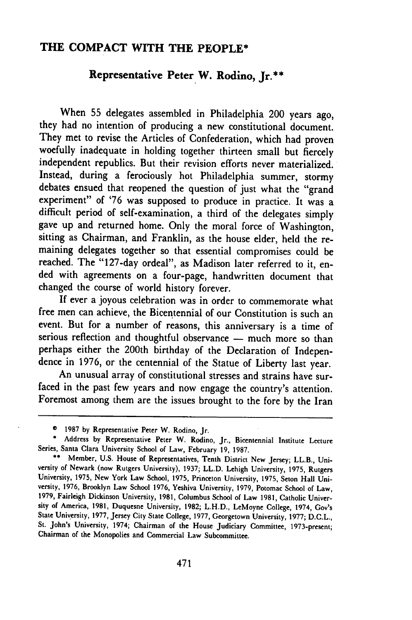### **THE COMPACT WITH THE PEOPLE\***

## **Representative Peter W. Rodino, Jr.\*\***

When **55** delegates assembled in Philadelphia 200 years ago, they had no intention of producing a new constitutional document. They met to revise the Articles of Confederation, which had proven woefully inadequate in holding together thirteen small but fiercely independent republics. But their revision efforts never materialized. Instead, during a ferociously hot Philadelphia summer, stormy debates ensued that reopened the question of just what the "grand experiment" of '76 was supposed to produce in practice. It was a difficult period of self-examination, a third of the delegates simply gave up and returned home. Only the moral force of Washington, sitting as Chairman, and Franklin, as the house elder, held the remaining delegates together so that essential compromises could be reached. The "127-day ordeal", as Madison later referred to it, ended with agreements on a four-page, handwritten document that changed the course of world history forever.

If ever a joyous celebration was in order to commemorate what free men can achieve, the Bicentennial of our Constitution is such an event. But for a number of reasons, this anniversary is a time of serious reflection and thoughtful observance - much more so than perhaps either the 200th birthday of the Declaration of Indepen dence in 1976, or the centennial of the Statue of Liberty last year. An unusual array of constitutional stresses and strains have sur-

faced in the past few years and now engage the country's attention. Foremost among them are the issues brought to the fore **by** the Iran

<sup>© 1987</sup> **by** Representative Peter W. Rodino, Jr.

**<sup>\*</sup>** Address **by** Representative Peter W. Rodino, Jr., Bicentennial Institute Lecture Series, Santa Clara University School of Law, February **19,** 1987.

**<sup>\*\*</sup>** Member, U.S. House of Representatives, Tenth District New Jersey; LL.B., University of Newark (now Rutgers University), **1937;** LL.D. Lehigh University, **1975,** Rutgers University, **1975,** New York Law School, **1975,** Princeton University, **1975,** Seton Hall University, 1976, Brooklyn Law School 1976, Yeshiva University, 1979, Potomac School of Law, **1979,** Fairleigh Dickinson University, 1981, Columbus School of Law 1981, Catholic University of America, 1981, Duquesne University, **1982;** L.H.D., LeMoyne College, 1974, Gov's State University, 1977, Jersey City State College, 1977, Georgetown University, **1977;** D.C.L., St. John's University, 1974; Chairman of the House Judiciary Committee, 1973-present; Chairman of the Monopolies and Commercial Law Subcommittee.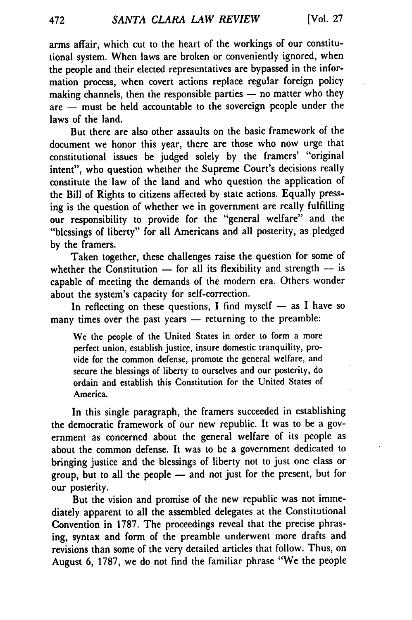arms affair, which cut to the heart of the workings of our constitutional system. When laws are broken or conveniently ignored, when the people and their elected representatives are bypassed in the information process, when covert actions replace regular foreign policy making channels, then the responsible parties  $-$  no matter who they are **-** must be held accountable to the sovereign people under the laws of the land.

But there are also other assaults on the basic framework of the document we honor this year, there are those who now urge that constitutional issues be judged solely by the framers' "original intent", who question whether the Supreme Court's decisions really constitute the law of the land and who question the application of the Bill of Rights to citizens affected by state actions. Equally pressing is the question of whether we in government are really fulfilling our responsibility to provide for the "general welfare" and the "blessings of liberty" for all Americans and all posterity, as pledged by the framers.

Taken together, these challenges raise the question for some of whether the Constitution  $-$  for all its flexibility and strength  $-$  is capable of meeting the demands of the modern era. Others wonder about the system's capacity for self-correction.

In reflecting on these questions, I find myself  $-$  as I have so many times over the past years - returning to the preamble:

We the people of the United States in order to form a more perfect union, establish justice, insure domestic tranquility, provide for the common defense, promote the general welfare, and secure the blessings of liberty to ourselves and our posterity, do ordain and establish this Constitution for the United States of America.

In this single paragraph, the framers succeeded in establishing the democratic framework of our new republic. It was to be a government as concerned about the general welfare of its people as about the common defense. It was to be a government dedicated to bringing justice and the blessings of liberty not to just one class or group, but to all the people - and not just for the present, but for our posterity.

But the vision and promise of the new republic was not immediately apparent to all the assembled delegates at the Constitutional Convention in **1787.** The proceedings reveal that the precise phrasing, syntax and form of the preamble underwent more drafts and revisions than some of the very detailed articles that follow. Thus, on August 6, 1787, we do not find the familiar phrase "We the people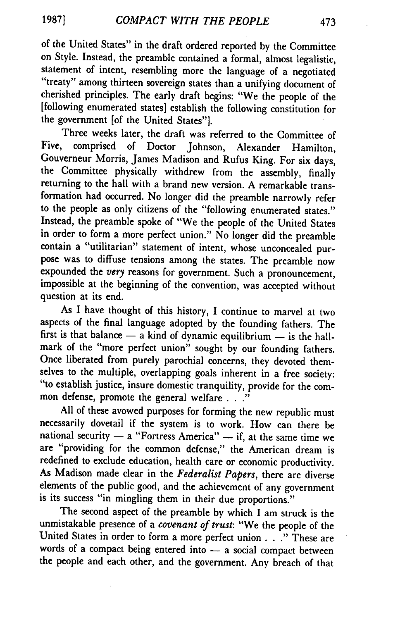of the United States" in the draft ordered reported by the Committee on Style. Instead, the preamble contained a formal, almost legalistic, statement of intent, resembling more the language of a negotiated "treaty" among thirteen sovereign states than a unifying document of cherished principles. The early draft begins: "We the people of the [following enumerated states] establish the following constitution for the government [of the United States"].

Three weeks later, the draft was referred to the Committee of Five, comprised of Doctor Johnson, Alexander Hamilton, Gouverneur Morris, James Madison and Rufus King. For six days, the Committee physically withdrew from the assembly, finally returning to the hall with a brand new version. **A** remarkable transformation had occurred. No longer did the preamble narrowly refer to the people as only citizens of the "following enumerated states." Instead, the preamble spoke of "We the people of the United States in order to form a more perfect union." No longer did the preamble contain a "utilitarian" statement of intent, whose unconcealed purpose was to diffuse tensions among the states. The preamble now expounded the *very* reasons for government. Such a pronouncement, impossible at the beginning of the convention, was accepted without question at its end.

As I have thought of this history, **I** continue to marvel at two aspects of the final language adopted **by** the founding fathers. The first is that balance  $-$  a kind of dynamic equilibrium  $-$  is the hallmark of the "more perfect union" sought **by** our founding fathers. Once liberated from purely parochial concerns, they devoted them-<br>selves to the multiple, overlapping goals inherent in a free society: "to establish justice, insure domestic tranquility, provide for the common defense, promote the general welfare **..."**

**All** of these avowed purposes for forming the new republic must necessarily dovetail if the system is to work. How can there be national security  $-$  a "Fortress America"  $-$  if, at the same time we are "providing for the common defense," the American dream is redefined to exclude education, health care or economic productivity. As Madison made clear in the *Federalist Papers,* there are diverse elements of the public good, and the achievement of any government is its success "in mingling them in their due proportions."

The second aspect of the preamble **by** which **I** am struck is the unmistakable presence of a *covenant of trust:* "We the people of the United States in order to form a more perfect union **. . ."** These are words of a compact being entered into  $-$  a social compact between the people and each other, and the government. Any breach of that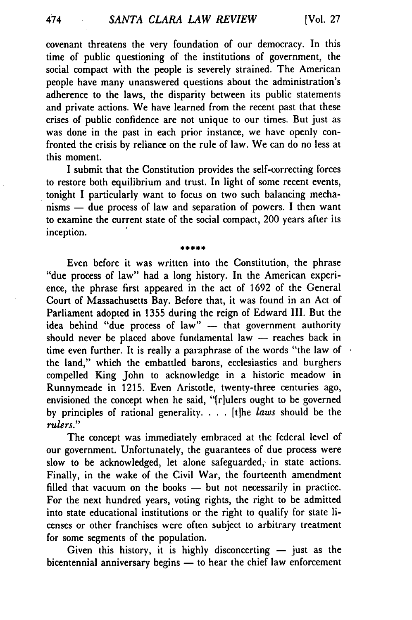covenant threatens the very foundation of our democracy. In this time of public questioning of the institutions of government, the social compact with the people is severely strained. The American people have many unanswered questions about the administration's adherence to the laws, the disparity between its public statements and private actions. We have learned from the recent past that these crises of public confidence are not unique to our times. But just as was done in the past in each prior instance, we have openly confronted the crisis **by** reliance on the rule of law. We can do no less at this moment.

I submit that the Constitution provides the self-correcting forces to restore both equilibrium and trust. In light of some recent events, tonight I particularly want to focus on two such balancing mechanisms - due process of law and separation of powers. **I** then want to examine the current state of the social compact, 200 years after its inception.

\*\*\*\*\*

Even before it was written into the Constitution, the phrase "due process of law" had a long history. In the American experience, the phrase first appeared in the act of **1692** of the General Court of Massachusetts Bay. Before that, it was found in an Act of Parliament adopted in **1355** during the reign of Edward **III.** But the idea behind "due process of law" - that government authority should never be placed above fundamental law -- reaches back in time even further. It is really a paraphrase of the words "the law of the land," which the embattled barons, ecclesiastics and burghers compelled King John to acknowledge in a historic meadow in Runnymeade in **1215.** Even Aristotle, twenty-three centuries ago, envisioned the concept when he said, "[r]ulers ought to be governed **by** principles of rational generality. . **.** . [t]he *laws* should be the *rulers."*

The concept was immediately embraced at the federal level of our government. Unfortunately, the guarantees of due process were slow to be acknowledged, let alone safeguarded, in state actions. Finally, in the wake of the Civil War, the fourteenth amendment filled that vacuum on the books -- but not necessarily in practice. For the next hundred years, voting rights, the right to be admitted into state educational institutions or the right to qualify for state licenses or other franchises were often subject to arbitrary treatment for some segments of the population.

Given this history, it is highly disconcerting  $-$  just as the bicentennial anniversary begins  $-$  to hear the chief law enforcement

474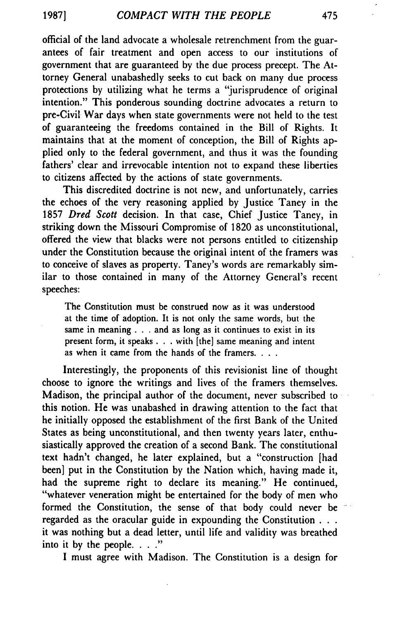official of the land advocate a wholesale retrenchment from the guarantees of fair treatment and open access to our institutions of government that are guaranteed by the due process precept. The Attorney General unabashedly seeks to cut back on many due process protections by utilizing what he terms a "jurisprudence of original intention." This ponderous sounding doctrine advocates a return to pre-Civil War days when state governments were not held to the test of guaranteeing the freedoms contained in the Bill of Rights. It maintains that at the moment of conception, the Bill of Rights applied only to the federal government, and thus it was the founding fathers' clear and irrevocable intention not to expand these liberties to citizens affected by the actions of state governments.

This discredited doctrine is not new, and unfortunately, carries the echoes of the very reasoning applied by Justice Taney in the 1857 *Dred Scott* decision. In that case, Chief Justice Taney, in striking down the Missouri Compromise of 1820 as unconstitutional, offered the view that blacks were not persons entitled to citizenship under the Constitution because the original intent of the framers was to conceive of slaves as property. Taney's words are remarkably similar to those contained in many of the Attorney General's recent speeches:

The Constitution must be construed now as it was understood at the time of adoption. It is not only the same words, but the same in meaning **. . .** and as long as it continues to exist in its present form, it speaks **. . .** with [the] same meaning and intent as when it came from the hands of the framers. **...**

Interestingly, the proponents of this revisionist line of thought choose to ignore the writings and lives of the framers themselves. Madison, the principal author of the document, never subscribed to this notion. He was unabashed in drawing attention to the fact that he initially opposed the establishment of the first Bank of the United States as being unconstitutional, and then twenty years later, enthusiastically approved the creation of a second Bank. The constitutional text hadn't changed, he later explained, but a "construction [had been] put in the Constitution by the Nation which, having made it, had the supreme right to declare its meaning." He continued, "whatever veneration might be entertained for the body of men who formed the Constitution, the sense of that body could never be regarded as the oracular guide in expounding the Constitution . . **.** it was nothing but a dead letter, until life and validity was breathed into it by the people. **.. .**

I must agree with Madison. The Constitution is a design for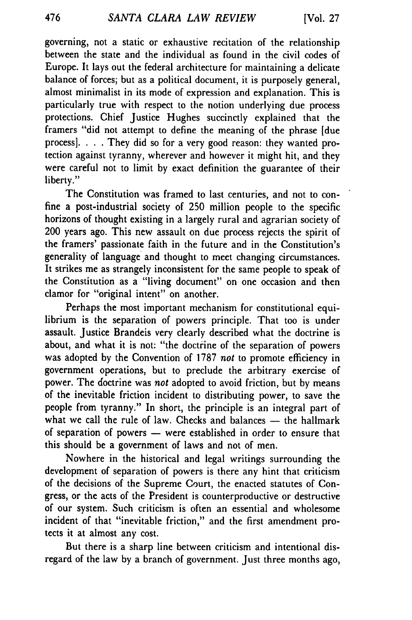governing, not a static or exhaustive recitation of the relationship between the state and the individual as found in the civil codes of Europe. It lays out the federal architecture for maintaining a delicate balance of forces; but as a political document, it is purposely general, almost minimalist in its mode of expression and explanation. This is particularly true with respect to the notion underlying due process protections. Chief Justice Hughes succinctly explained that the framers "did not attempt to define the meaning of the phrase [due process]. . **.** . They did so for a very good reason: they wanted protection against tyranny, wherever and however it might hit, and they were careful not to limit by exact definition the guarantee of their liberty."

The Constitution was framed to last centuries, and not to confine a post-industrial society of 250 million people to the specific horizons of thought existing in a largely rural and agrarian society of 200 years ago. This new assault on due process rejects the spirit of the framers' passionate faith in the future and in the Constitution's generality of language and thought to meet changing circumstances. It strikes me as strangely inconsistent for the same people to speak of the Constitution as a "living document" on one occasion and then clamor for "original intent" on another.

Perhaps the most important mechanism for constitutional equilibrium is the separation of powers principle. That too is under assault. Justice Brandeis very clearly described what the doctrine is about, and what it is not: "the doctrine of the separation of powers was adopted by the Convention of 1787 *not* to promote efficiency in government operations, but to preclude the arbitrary exercise of power. The doctrine was *not* adopted to avoid friction, but by means of the inevitable friction incident to distributing power, to save the people from tyranny." In short, the principle is an integral part of what we call the rule of law. Checks and balances - the hallmark of separation of powers **-** were established in order to ensure that this should be a government of laws and not of men.

Nowhere in the historical and legal writings surrounding the development of separation of powers is there any hint that criticism of the decisions of the Supreme Court, the enacted statutes of Congress, or the acts of the President is counterproductive or destructive of our system. Such criticism is often an essential and wholesome incident of that "inevitable friction," and the first amendment protects it at almost any cost.

But there is a sharp line between criticism and intentional disregard of the law by a branch of government. Just three months ago,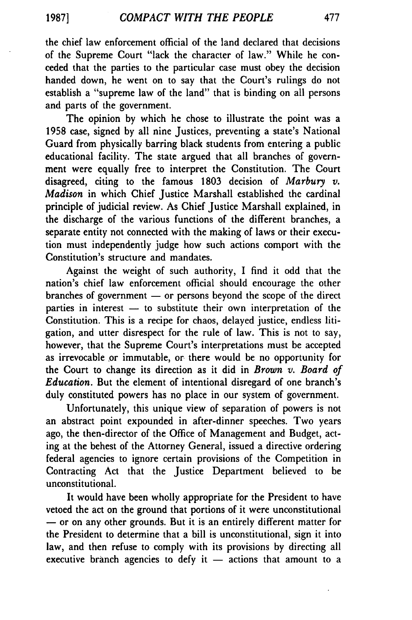**1987]**

the chief law enforcement official of the land declared that decisions of the Supreme Court "lack the character of law." While he conceded that the parties to the particular case must obey the decision handed down, he went on to say that the Court's rulings do not establish a "supreme law of the land" that is binding on all persons and parts of the government.

The opinion **by** which he chose to illustrate the point was a **1958** case, signed **by** all nine Justices, preventing a state's National Guard from physically barring black students from entering a public educational facility. The state argued that all branches of government were equally free to interpret the Constitution. The Court disagreed, citing to the famous **1803** decision of *Marbury v. Madison* in which Chief Justice Marshall established the cardinal principle of judicial review. As Chief Justice Marshall explained, in the discharge of the various functions of the different branches, a separate entity not connected with the making of laws or their execution must independently judge how such actions comport with the Constitution's structure and mandates.

Against the weight of such authority, I find it odd that the nation's chief law enforcement official should encourage the other branches of government  $-$  or persons beyond the scope of the direct parties in interest  $-$  to substitute their own interpretation of the Constitution. This is a recipe for chaos, delayed justice, endless litigation, and utter disrespect for the rule of law. This is not to say, however, that the Supreme Court's interpretations must be accepted as irrevocable or immutable, or there would be no opportunity for the Court to change its direction as it did in *Brown v. Board of Education.* But the element of intentional disregard of one branch's duly constituted powers has no place in our system of government.

Unfortunately, this unique view of separation of powers is not an abstract point expounded in after-dinner speeches. Two years ago, the then-director of the Office of Management and Budget, acting at the behest of the Attorney General, issued a directive ordering federal agencies to ignore certain provisions of the Competition in Contracting Act that the Justice Department believed to be unconstitutional.

It would have been wholly appropriate for the President to have vetoed the act on the ground that portions of it were unconstitutional **-** or on any other grounds. But it is an entirely different matter for the President to determine that a bill is unconstitutional, sign it into law, and then refuse to comply with its provisions **by** directing all executive branch agencies to defy it  $-$  actions that amount to a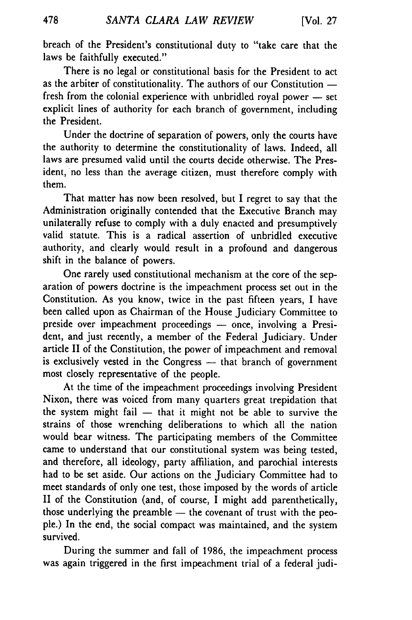breach of the President's constitutional duty to "take care that the laws be faithfully executed."

There is no legal or constitutional basis for the President to act as the arbiter of constitutionality. The authors of our Constitution  $$ fresh from the colonial experience with unbridled royal power  $-$  set explicit lines of authority for each branch of government, including the President.

Under the doctrine of separation of powers, only the courts have the authority to determine the constitutionality of laws. Indeed, all laws are presumed valid until the courts decide otherwise. The President, no less than the average citizen, must therefore comply with them.

That matter has now been resolved, but I regret to say that the Administration originally contended that the Executive Branch may unilaterally refuse to comply with a duly enacted and presumptively valid statute. This is a radical assertion of unbridled executive authority, and clearly would result in a profound and dangerous shift in the balance of powers.

One rarely used constitutional mechanism at the core of the separation of powers doctrine is the impeachment process set out in the Constitution. As you know, twice in the past fifteen years, I have been called upon as Chairman of the House Judiciary Committee to preside over impeachment proceedings - once, involving a President, and just recently, a member of the Federal Judiciary. Under article II of the Constitution, the power of impeachment and removal is exclusively vested in the Congress - that branch of government most closely representative of the people.

At the time of the impeachment proceedings involving President Nixon, there was voiced from many quarters great trepidation that the system might fail  $-$  that it might not be able to survive the strains of those wrenching deliberations to which all the nation would bear witness. The participating members of the Committee came to understand that our constitutional system was being tested, and therefore, all ideology, party affiliation, and parochial interests had to be set aside. Our actions on the Judiciary Committee had to meet standards of only one test, those imposed by the words of article II of the Constitution (and, of course, I might add parenthetically, those underlying the preamble - the covenant of trust with the people.) In the end, the social compact was maintained, and the system survived.

During the summer and fall of 1986, the impeachment process was again triggered in the first impeachment trial of a federal judi-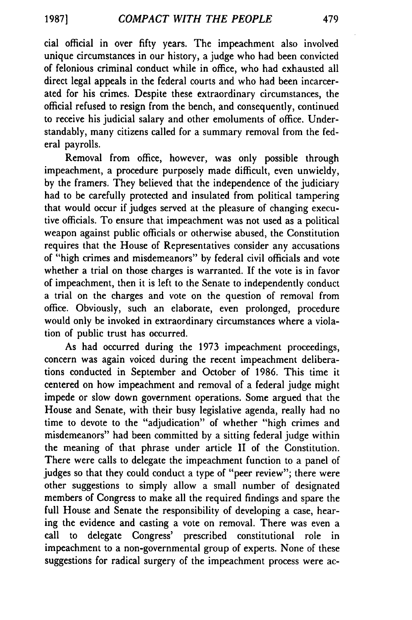cial official in over fifty years. The impeachment also involved unique circumstances in our history, a judge who had been convicted of felonious criminal conduct while in office, who had exhausted all direct legal appeals in the federal courts and who had been incarcerated for his crimes. Despite these extraordinary circumstances, the official refused to resign from the bench, and consequently, continued to receive his judicial salary and other emoluments of office. Understandably, many citizens called for a summary removal from the federal payrolls.

Removal from office, however, was only possible through impeachment, a procedure purposely made difficult, even unwieldy, by the framers. They believed that the independence of the judiciary had to be carefully protected and insulated from political tampering that would occur if judges served at the pleasure of changing executive officials. To ensure that impeachment was not used as a political weapon against public officials or otherwise abused, the Constitution requires that the House of Representatives consider any accusations of "high crimes and misdemeanors" by federal civil officials and vote whether a trial on those charges is warranted. If the vote is in favor of impeachment, then it is left to the Senate to independently conduct a trial on the charges and vote on the question of removal from office. Obviously, such an elaborate, even prolonged, procedure would only be invoked in extraordinary circumstances where a violation of public trust has occurred.

As had occurred during the 1973 impeachment proceedings, concern was again voiced during the recent impeachment deliberations conducted in September and October of 1986. This time it centered on how impeachment and removal of a federal judge might impede or slow down government operations. Some argued that the House and Senate, with their busy legislative agenda, really had no time to devote to the "adjudication" of whether "high crimes and misdemeanors" had been committed by a sitting federal judge within the meaning of that phrase under article II of the Constitution. There were calls to delegate the impeachment function to a panel of judges so that they could conduct a type of "peer review"; there were other suggestions to simply allow a small number of designated members of Congress to make all the required findings and spare the full House and Senate the responsibility of developing a case, hearing the evidence and casting a vote on removal. There was even a call to delegate Congress' prescribed constitutional role in impeachment to a non-governmental group of experts. None of these suggestions for radical surgery of the impeachment process were ac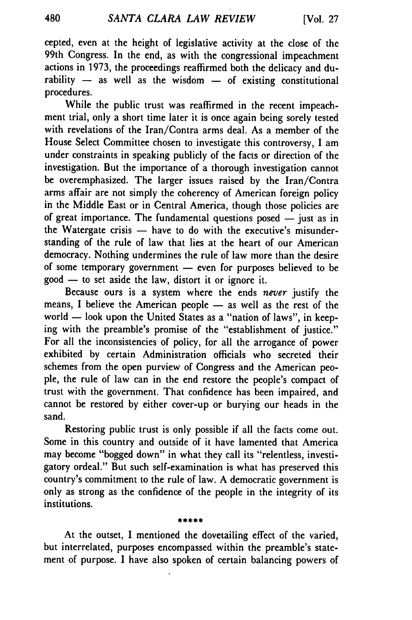cepted, even at the height of legislative activity at the close of the 99th Congress. In the end, as with the congressional impeachment actions in 1973, the proceedings reaffirmed both the delicacy and durability - as well as the wisdom - of existing constitutional procedures.

While the public trust was reaffirmed in the recent impeachment trial, only a short time later it is once again being sorely tested with revelations of the Iran/Contra arms deal. As a member of the House Select Committee chosen to investigate this controversy, I am under constraints in speaking publicly of the facts or direction of the investigation. But the importance of a thorough investigation cannot be overemphasized. The larger issues raised by the Iran/Contra arms affair are not simply the coherency of American foreign policy in the Middle East or in Central America, though those policies are of great importance. The fundamental questions posed  $-$  just as in the Watergate crisis  $-$  have to do with the executive's misunderstanding of the rule of law that lies at the heart of our American democracy. Nothing undermines the rule of law more than the desire of some temporary government - even for purposes believed to be  $good$  — to set aside the law, distort it or ignore it.

Because ours is a system where the ends *never* justify the means, I believe the American people  $-$  as well as the rest of the world - look upon the United States as a "nation of laws", in keeping with the preamble's promise of the "establishment of justice." For all the inconsistencies of policy, for all the arrogance of power exhibited by certain Administration officials who secreted their schemes from the open purview of Congress and the American people, the rule of law can in the end restore the people's compact of trust with the government. That confidence has been impaired, and cannot be restored by either cover-up or burying our heads in the sand.

Restoring public trust is only possible if all the facts come out. Some in this country and outside of it have lamented that America may become "bogged down" in what they call its "relentless, investigatory ordeal." But such self-examination is what has preserved this country's commitment to the rule of law. A democratic government is only as strong as the confidence of the people in the integrity of its institutions.

At the outset, I mentioned the dovetailing effect of the varied, but interrelated, purposes encompassed within the preamble's statement of purpose. I have also spoken of certain balancing powers of

de de sir de de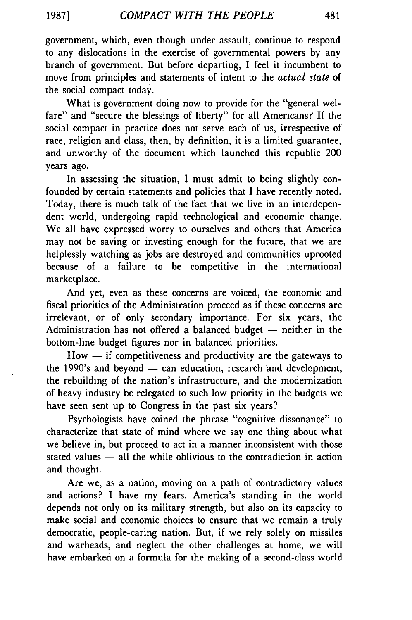**19871**

government, which, even though under assault, continue to respond to any dislocations in the exercise of governmental powers by any branch of government. But before departing, I feel it incumbent to move from principles and statements of intent to the *actual* state of the social compact today.

What is government doing now to provide for the "general welfare" and "secure the blessings of liberty" for all Americans? If the social compact in practice does not serve each of us, irrespective of race, religion and class, then, by definition, it is a limited guarantee, and unworthy of the document which launched this republic 200 years ago.

In assessing the situation, I must admit to being slightly confounded by certain statements and policies that I have recently noted. Today, there is much talk of the fact that we live in an interdependent world, undergoing rapid technological and economic change. We all have expressed worry to ourselves and others that America may not be saving or investing enough for the future, that we are helplessly watching as jobs are destroyed and communities uprooted because of a failure to be competitive in the international marketplace.

And yet, even as these concerns are voiced, the economic and fiscal priorities of the Administration proceed as if these concerns are irrelevant, or of only secondary importance. For six years, the Administration has not offered a balanced budget  $-$  neither in the bottom-line budget figures nor in balanced priorities.

 $How - if$  competitiveness and productivity are the gateways to the 1990's and beyond  $-$  can education, research and development, the rebuilding of the nation's infrastructure, and the modernization of heavy industry be relegated to such low priority in the budgets we have seen sent up to Congress in the past six years?

Psychologists have coined the phrase "cognitive dissonance" to characterize that state of mind where we say one thing about what we believe in, but proceed to act in a manner inconsistent with those stated values - all the while oblivious to the contradiction in action and thought.

Are we, as a nation, moving on a path of contradictory values and actions? I have my fears. America's standing in the world depends not only on its military strength, but also on its capacity to make social and economic choices to ensure that we remain a truly democratic, people-caring nation. But, if we rely solely on missiles and warheads, and neglect the other challenges at home, we will have embarked on a formula for the making of a second-class world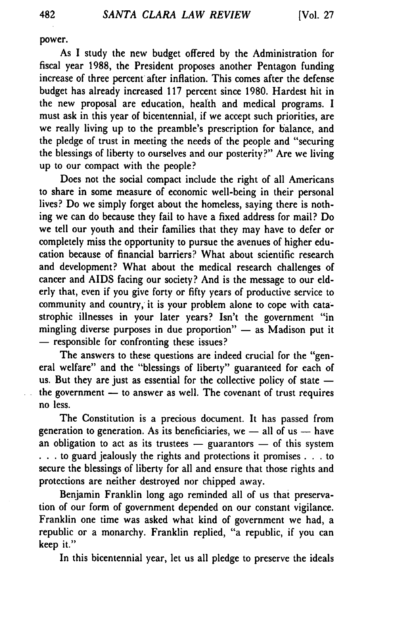power.

As **I** study the new budget offered by the Administration for fiscal year **1988,** the President proposes another Pentagon funding increase of three percent after inflation. This comes after the defense budget has already increased **117** percent since **1980.** Hardest hit in the new proposal are education, health and medical programs. I must ask in this year of bicentennial, if we accept such priorities, are we really living up to the preamble's prescription for balance, and the pledge of trust in meeting the needs of the people and "securing the blessings of liberty to ourselves and our posterity?" Are we living up to our compact with the people?

Does not the social compact include the right of all Americans to share in some measure of economic well-being in their personal lives? Do we simply forget about the homeless, saying there is nothing we can do because they fail to have a fixed address for mail? Do we tell our youth and their families that they may have to defer or completely miss the opportunity to pursue the avenues of higher education because of financial barriers? What about scientific research and development? What about the medical research challenges of cancer and AIDS facing our society? And is the message to our elderly that, even if you give forty or **fifty** years of productive service to community and country, it is your problem alone to cope with catastrophic illnesses in your later years? Isn't the government "in mingling diverse purposes in due proportion"  $-$  as Madison put it **-** responsible for confronting these issues?

The answers to these questions are indeed crucial for the "general welfare" and the "blessings of liberty" guaranteed for each of us. But they are just as essential for the collective policy of state  $$ the government - to answer as well. The covenant of trust requires no less.

The Constitution is a precious document. It has passed from generation to generation. As its beneficiaries, we  $-$  all of us  $-$  have an obligation to act as its trustees **-** guarantors **-** of this system • **. .** to guard jealously the rights and protections it promises **. . .** to secure the blessings of liberty for all and ensure that those rights and protections are neither destroyed nor chipped away.

Benjamin Franklin long ago reminded all of us that preservation of our form of government depended on our constant vigilance. Franklin one time was asked what kind of government we had, a republic or a monarchy. Franklin replied, "a republic, if you can keep it."

In this bicentennial year, let us all pledge to preserve the ideals